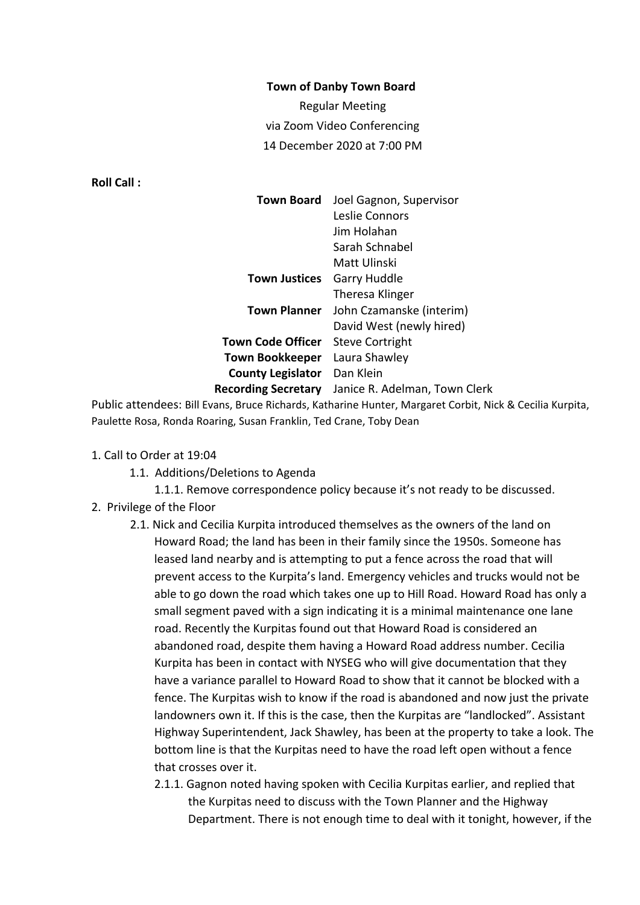#### **Town of Danby Town Board**

Regular Meeting via Zoom Video Conferencing 14 December 2020 at 7:00 PM

**Roll Call :**

| <b>Town Board</b>          | Joel Gagnon, Supervisor       |
|----------------------------|-------------------------------|
|                            | Leslie Connors                |
|                            | Jim Holahan                   |
|                            | Sarah Schnabel                |
|                            | Matt Ulinski                  |
| Town Justices              | Garry Huddle                  |
|                            | Theresa Klinger               |
| <b>Town Planner</b>        | John Czamanske (interim)      |
|                            | David West (newly hired)      |
| <b>Town Code Officer</b>   | <b>Steve Cortright</b>        |
| <b>Town Bookkeeper</b>     | Laura Shawley                 |
| <b>County Legislator</b>   | Dan Klein                     |
| <b>Recording Secretary</b> | Janice R. Adelman, Town Clerk |
|                            |                               |

Public attendees: Bill Evans, Bruce Richards, Katharine Hunter, Margaret Corbit, Nick & Cecilia Kurpita, Paulette Rosa, Ronda Roaring, Susan Franklin, Ted Crane, Toby Dean

### 1. Call to Order at 19:04

1.1. Additions/Deletions to Agenda

1.1.1. Remove correspondence policy because it's not ready to be discussed.

- 2. Privilege of the Floor
	- 2.1. Nick and Cecilia Kurpita introduced themselves as the owners of the land on Howard Road; the land has been in their family since the 1950s. Someone has leased land nearby and is attempting to put a fence across the road that will prevent access to the Kurpita's land. Emergency vehicles and trucks would not be able to go down the road which takes one up to Hill Road. Howard Road has only a small segment paved with a sign indicating it is a minimal maintenance one lane road. Recently the Kurpitas found out that Howard Road is considered an abandoned road, despite them having a Howard Road address number. Cecilia Kurpita has been in contact with NYSEG who will give documentation that they have a variance parallel to Howard Road to show that it cannot be blocked with a fence. The Kurpitas wish to know if the road is abandoned and now just the private landowners own it. If this is the case, then the Kurpitas are "landlocked". Assistant Highway Superintendent, Jack Shawley, has been at the property to take a look. The bottom line is that the Kurpitas need to have the road left open without a fence that crosses over it.
		- 2.1.1. Gagnon noted having spoken with Cecilia Kurpitas earlier, and replied that the Kurpitas need to discuss with the Town Planner and the Highway Department. There is not enough time to deal with it tonight, however, if the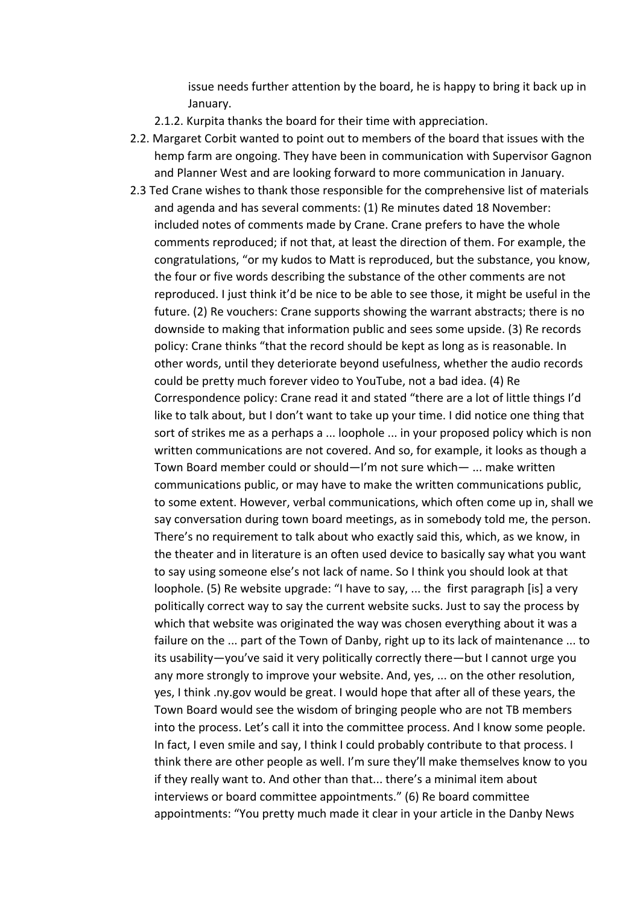issue needs further attention by the board, he is happy to bring it back up in January.

- 2.1.2. Kurpita thanks the board for their time with appreciation.
- 2.2. Margaret Corbit wanted to point out to members of the board that issues with the hemp farm are ongoing. They have been in communication with Supervisor Gagnon and Planner West and are looking forward to more communication in January.
- 2.3 Ted Crane wishes to thank those responsible for the comprehensive list of materials and agenda and has several comments: (1) Re minutes dated 18 November: included notes of comments made by Crane. Crane prefers to have the whole comments reproduced; if not that, at least the direction of them. For example, the congratulations, "or my kudos to Matt is reproduced, but the substance, you know, the four or five words describing the substance of the other comments are not reproduced. I just think it'd be nice to be able to see those, it might be useful in the future. (2) Re vouchers: Crane supports showing the warrant abstracts; there is no downside to making that information public and sees some upside. (3) Re records policy: Crane thinks "that the record should be kept as long as is reasonable. In other words, until they deteriorate beyond usefulness, whether the audio records could be pretty much forever video to YouTube, not a bad idea. (4) Re Correspondence policy: Crane read it and stated "there are a lot of little things I'd like to talk about, but I don't want to take up your time. I did notice one thing that sort of strikes me as a perhaps a ... loophole ... in your proposed policy which is non written communications are not covered. And so, for example, it looks as though a Town Board member could or should—I'm not sure which— ... make written communications public, or may have to make the written communications public, to some extent. However, verbal communications, which often come up in, shall we say conversation during town board meetings, as in somebody told me, the person. There's no requirement to talk about who exactly said this, which, as we know, in the theater and in literature is an often used device to basically say what you want to say using someone else's not lack of name. So I think you should look at that loophole. (5) Re website upgrade: "I have to say, ... the first paragraph [is] a very politically correct way to say the current website sucks. Just to say the process by which that website was originated the way was chosen everything about it was a failure on the ... part of the Town of Danby, right up to its lack of maintenance ... to its usability—you've said it very politically correctly there—but I cannot urge you any more strongly to improve your website. And, yes, ... on the other resolution, yes, I think .ny.gov would be great. I would hope that after all of these years, the Town Board would see the wisdom of bringing people who are not TB members into the process. Let's call it into the committee process. And I know some people. In fact, I even smile and say, I think I could probably contribute to that process. I think there are other people as well. I'm sure they'll make themselves know to you if they really want to. And other than that... there's a minimal item about interviews or board committee appointments." (6) Re board committee appointments: "You pretty much made it clear in your article in the Danby News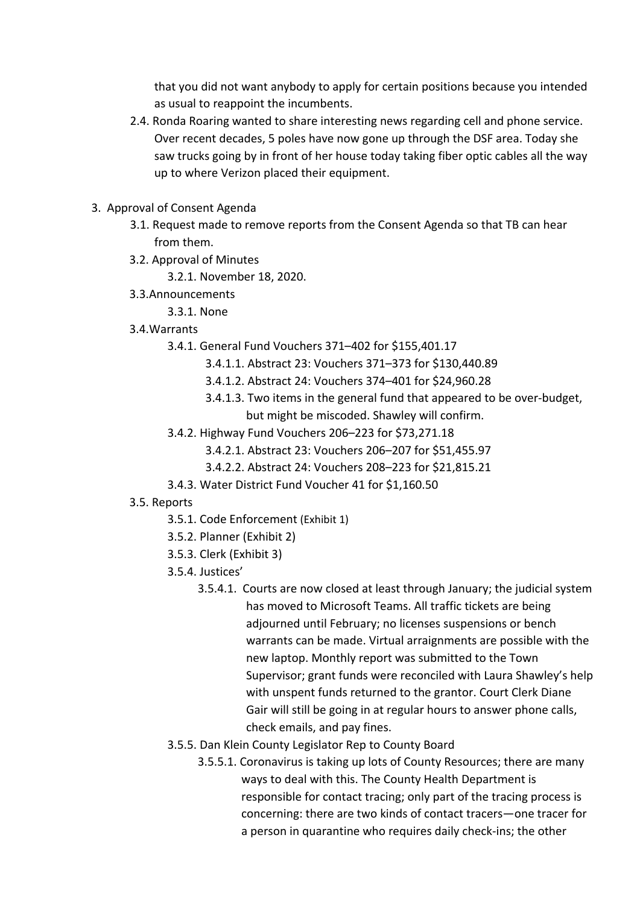that you did not want anybody to apply for certain positions because you intended as usual to reappoint the incumbents.

- 2.4. Ronda Roaring wanted to share interesting news regarding cell and phone service. Over recent decades, 5 poles have now gone up through the DSF area. Today she saw trucks going by in front of her house today taking fiber optic cables all the way up to where Verizon placed their equipment.
- 3. Approval of Consent Agenda
	- 3.1. Request made to remove reports from the Consent Agenda so that TB can hear from them.
	- 3.2. Approval of Minutes
		- 3.2.1. November 18, 2020.
	- 3.3.Announcements
		- 3.3.1. None
	- 3.4.Warrants
		- 3.4.1. General Fund Vouchers 371–402 for \$155,401.17
			- 3.4.1.1. Abstract 23: Vouchers 371–373 for \$130,440.89
			- 3.4.1.2. Abstract 24: Vouchers 374–401 for \$24,960.28
			- 3.4.1.3. Two items in the general fund that appeared to be over-budget, but might be miscoded. Shawley will confirm.
		- 3.4.2. Highway Fund Vouchers 206–223 for \$73,271.18
			- 3.4.2.1. Abstract 23: Vouchers 206–207 for \$51,455.97
			- 3.4.2.2. Abstract 24: Vouchers 208–223 for \$21,815.21
		- 3.4.3. Water District Fund Voucher 41 for \$1,160.50
	- 3.5. Reports
		- 3.5.1. Code Enforcement (Exhibit 1)
		- 3.5.2. Planner (Exhibit 2)
		- 3.5.3. Clerk (Exhibit 3)
		- 3.5.4. Justices'
			- 3.5.4.1. Courts are now closed at least through January; the judicial system has moved to Microsoft Teams. All traffic tickets are being adjourned until February; no licenses suspensions or bench warrants can be made. Virtual arraignments are possible with the new laptop. Monthly report was submitted to the Town Supervisor; grant funds were reconciled with Laura Shawley's help with unspent funds returned to the grantor. Court Clerk Diane Gair will still be going in at regular hours to answer phone calls, check emails, and pay fines.
		- 3.5.5. Dan Klein County Legislator Rep to County Board
			- 3.5.5.1. Coronavirus is taking up lots of County Resources; there are many ways to deal with this. The County Health Department is responsible for contact tracing; only part of the tracing process is concerning: there are two kinds of contact tracers—one tracer for a person in quarantine who requires daily check-ins; the other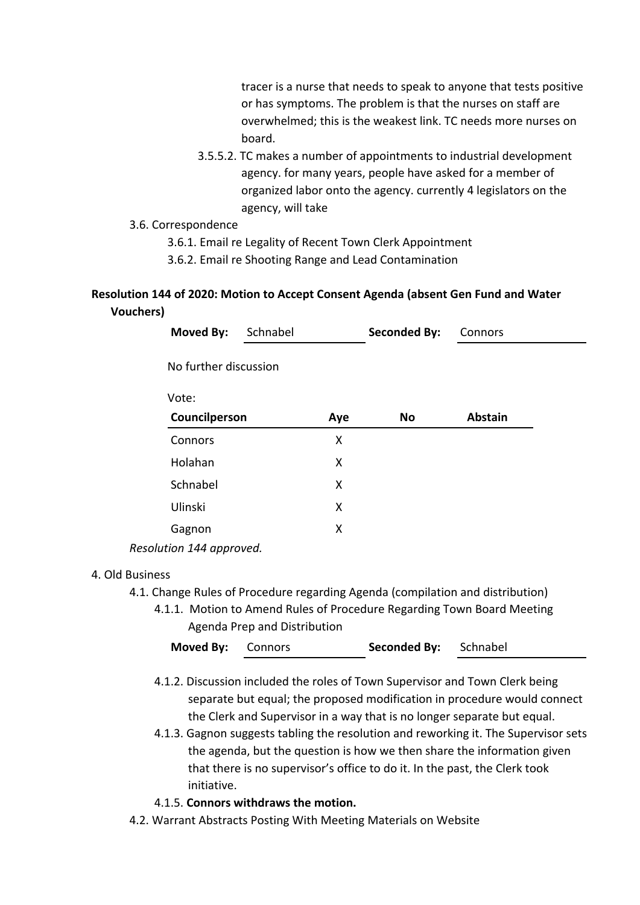tracer is a nurse that needs to speak to anyone that tests positive or has symptoms. The problem is that the nurses on staff are overwhelmed; this is the weakest link. TC needs more nurses on board.

- 3.5.5.2. TC makes a number of appointments to industrial development agency. for many years, people have asked for a member of organized labor onto the agency. currently 4 legislators on the agency, will take
- 3.6. Correspondence
	- 3.6.1. Email re Legality of Recent Town Clerk Appointment
	- 3.6.2. Email re Shooting Range and Lead Contamination

# **Resolution 144 of 2020: Motion to Accept Consent Agenda (absent Gen Fund and Water Vouchers)**

| Moved By:                | Schnabel |     | <b>Seconded By:</b> | Connors        |  |
|--------------------------|----------|-----|---------------------|----------------|--|
| No further discussion    |          |     |                     |                |  |
| Vote:                    |          |     |                     |                |  |
| Councilperson            |          | Aye | <b>No</b>           | <b>Abstain</b> |  |
| Connors                  |          | X   |                     |                |  |
| Holahan                  |          | X   |                     |                |  |
| Schnabel                 |          | X   |                     |                |  |
| Ulinski                  |          | X   |                     |                |  |
| Gagnon                   |          | Χ   |                     |                |  |
| Resolution 144 approved. |          |     |                     |                |  |

## 4. Old Business

- 4.1. Change Rules of Procedure regarding Agenda (compilation and distribution)
	- 4.1.1. Motion to Amend Rules of Procedure Regarding Town Board Meeting Agenda Prep and Distribution

| <b>Moved By: Connors</b> |  | <b>Seconded By:</b> Schnabel |  |  |
|--------------------------|--|------------------------------|--|--|
|--------------------------|--|------------------------------|--|--|

- 4.1.2. Discussion included the roles of Town Supervisor and Town Clerk being separate but equal; the proposed modification in procedure would connect the Clerk and Supervisor in a way that is no longer separate but equal.
- 4.1.3. Gagnon suggests tabling the resolution and reworking it. The Supervisor sets the agenda, but the question is how we then share the information given that there is no supervisor's office to do it. In the past, the Clerk took initiative.

# 4.1.5. **Connors withdraws the motion.**

4.2. Warrant Abstracts Posting With Meeting Materials on Website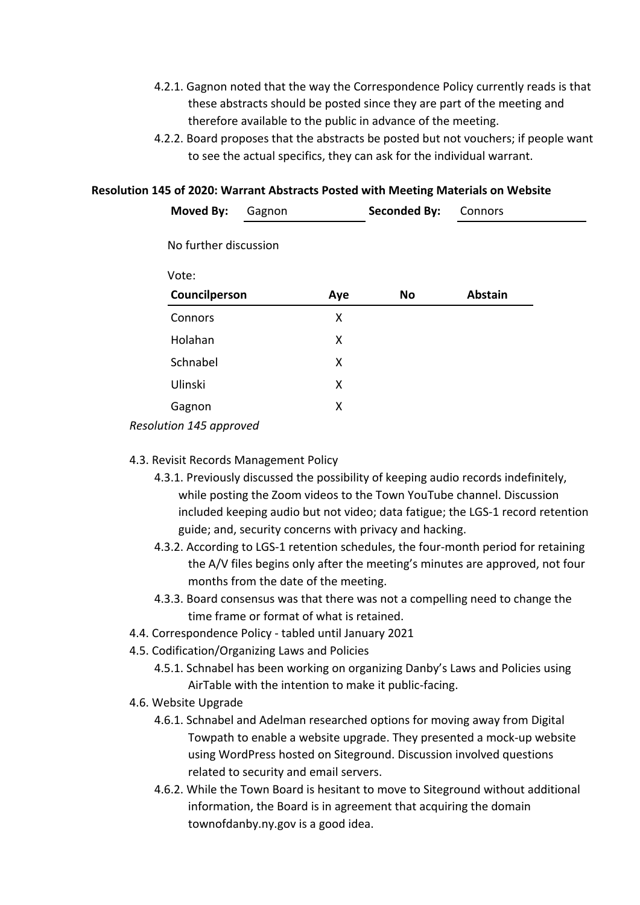- 4.2.1. Gagnon noted that the way the Correspondence Policy currently reads is that these abstracts should be posted since they are part of the meeting and therefore available to the public in advance of the meeting.
- 4.2.2. Board proposes that the abstracts be posted but not vouchers; if people want to see the actual specifics, they can ask for the individual warrant.

### **Resolution 145 of 2020: Warrant Abstracts Posted with Meeting Materials on Website**

| Moved By:               | Gagnon |     | <b>Seconded By:</b> | Connors        |  |
|-------------------------|--------|-----|---------------------|----------------|--|
| No further discussion   |        |     |                     |                |  |
| Vote:                   |        |     |                     |                |  |
| Councilperson           |        | Aye | No                  | <b>Abstain</b> |  |
| Connors                 |        | X   |                     |                |  |
| Holahan                 |        | X   |                     |                |  |
| Schnabel                |        | X   |                     |                |  |
| Ulinski                 |        | X   |                     |                |  |
| Gagnon                  |        | X   |                     |                |  |
| Resolution 145 approved |        |     |                     |                |  |

# 4.3. Revisit Records Management Policy

- 4.3.1. Previously discussed the possibility of keeping audio records indefinitely, while posting the Zoom videos to the Town YouTube channel. Discussion included keeping audio but not video; data fatigue; the LGS-1 record retention guide; and, security concerns with privacy and hacking.
- 4.3.2. According to LGS-1 retention schedules, the four-month period for retaining the A/V files begins only after the meeting's minutes are approved, not four months from the date of the meeting.
- 4.3.3. Board consensus was that there was not a compelling need to change the time frame or format of what is retained.
- 4.4. Correspondence Policy tabled until January 2021
- 4.5. Codification/Organizing Laws and Policies
	- 4.5.1. Schnabel has been working on organizing Danby's Laws and Policies using AirTable with the intention to make it public-facing.
- 4.6. Website Upgrade
	- 4.6.1. Schnabel and Adelman researched options for moving away from Digital Towpath to enable a website upgrade. They presented a mock-up website using WordPress hosted on Siteground. Discussion involved questions related to security and email servers.
	- 4.6.2. While the Town Board is hesitant to move to Siteground without additional information, the Board is in agreement that acquiring the domain townofdanby.ny.gov is a good idea.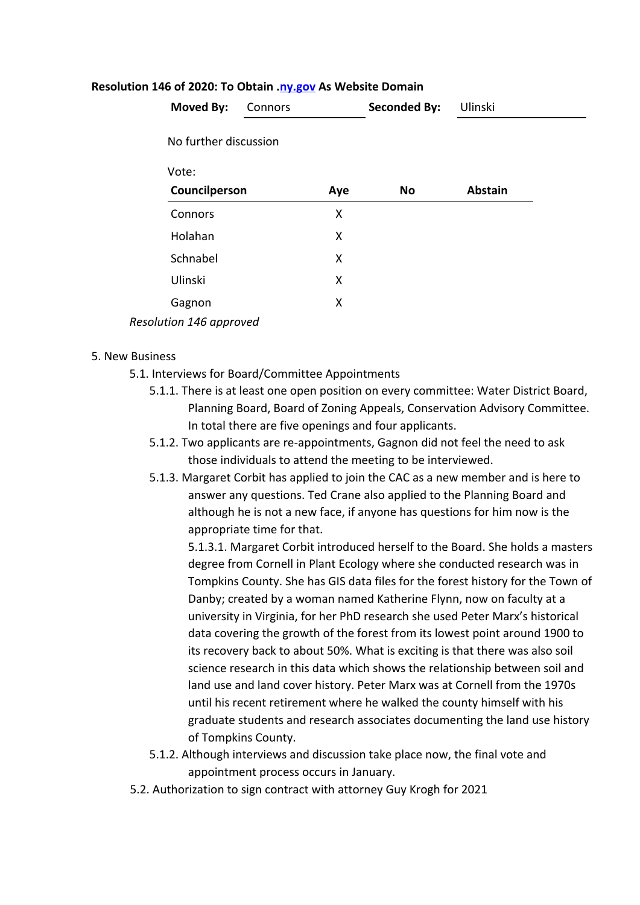| Moved By:               | Connors |     | <b>Seconded By:</b> | Ulinski        |  |
|-------------------------|---------|-----|---------------------|----------------|--|
| No further discussion   |         |     |                     |                |  |
| Vote:                   |         |     |                     |                |  |
| Councilperson           |         | Aye | No                  | <b>Abstain</b> |  |
| Connors                 |         | X   |                     |                |  |
| Holahan                 |         | X   |                     |                |  |
| Schnabel                |         | X   |                     |                |  |
| Ulinski                 |         | X   |                     |                |  |
| Gagnon                  |         | X   |                     |                |  |
| Resolution 146 approved |         |     |                     |                |  |

#### **Resolution 146 of 2020: To Obtain.[ny.gov](http://ny.gov/) As Website Domain**

#### 5. New Business

- 5.1. Interviews for Board/Committee Appointments
	- 5.1.1. There is at least one open position on every committee: Water District Board, Planning Board, Board of Zoning Appeals, Conservation Advisory Committee. In total there are five openings and four applicants.
	- 5.1.2. Two applicants are re-appointments, Gagnon did not feel the need to ask those individuals to attend the meeting to be interviewed.
	- 5.1.3. Margaret Corbit has applied to join the CAC as a new member and is here to answer any questions. Ted Crane also applied to the Planning Board and although he is not a new face, if anyone has questions for him now is the appropriate time for that.

5.1.3.1. Margaret Corbit introduced herself to the Board. She holds a masters degree from Cornell in Plant Ecology where she conducted research was in Tompkins County. She has GIS data files for the forest history for the Town of Danby; created by a woman named Katherine Flynn, now on faculty at a university in Virginia, for her PhD research she used Peter Marx's historical data covering the growth of the forest from its lowest point around 1900 to its recovery back to about 50%. What is exciting is that there was also soil science research in this data which shows the relationship between soil and land use and land cover history. Peter Marx was at Cornell from the 1970s until his recent retirement where he walked the county himself with his graduate students and research associates documenting the land use history of Tompkins County.

- 5.1.2. Although interviews and discussion take place now, the final vote and appointment process occurs in January.
- 5.2. Authorization to sign contract with attorney Guy Krogh for 2021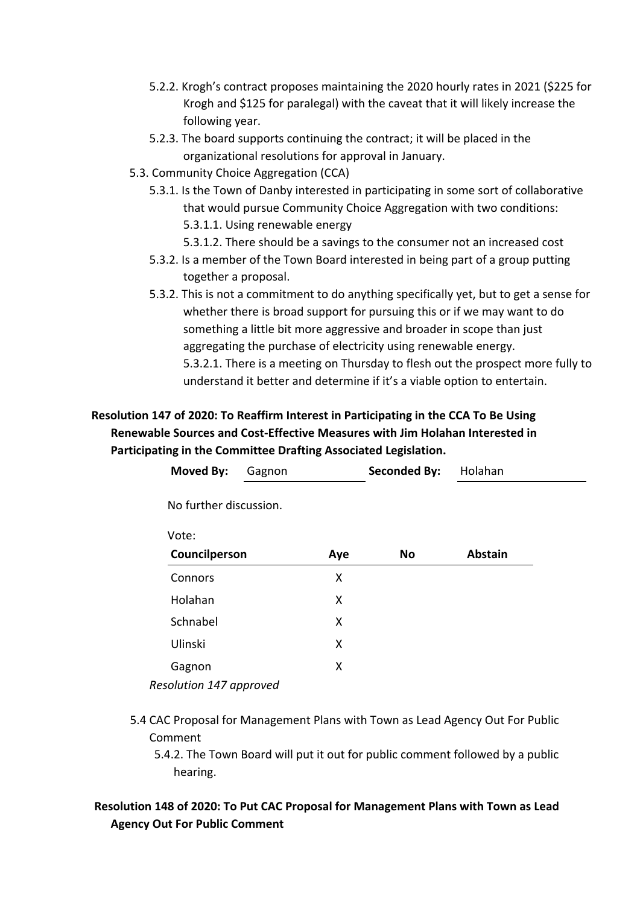- 5.2.2. Krogh's contract proposes maintaining the 2020 hourly rates in 2021 (\$225 for Krogh and \$125 for paralegal) with the caveat that it will likely increase the following year.
- 5.2.3. The board supports continuing the contract; it will be placed in the organizational resolutions for approval in January.
- 5.3. Community Choice Aggregation (CCA)
	- 5.3.1. Is the Town of Danby interested in participating in some sort of collaborative that would pursue Community Choice Aggregation with two conditions: 5.3.1.1. Using renewable energy
		- 5.3.1.2. There should be a savings to the consumer not an increased cost
	- 5.3.2. Is a member of the Town Board interested in being part of a group putting together a proposal.
	- 5.3.2. This is not a commitment to do anything specifically yet, but to get a sense for whether there is broad support for pursuing this or if we may want to do something a little bit more aggressive and broader in scope than just aggregating the purchase of electricity using renewable energy. 5.3.2.1. There is a meeting on Thursday to flesh out the prospect more fully to understand it better and determine if it's a viable option to entertain.

# **Resolution 147 of 2020: To Reaffirm Interest in Participating in the CCA To Be Using Renewable Sources and Cost-Effective Measures with Jim Holahan Interested in Participating in the Committee Drafting Associated Legislation.**

| <b>Moved By:</b>        | Gagnon |     | <b>Seconded By:</b> | Holahan        |  |
|-------------------------|--------|-----|---------------------|----------------|--|
| No further discussion.  |        |     |                     |                |  |
| Vote:                   |        |     |                     |                |  |
| Councilperson           |        | Aye | No                  | <b>Abstain</b> |  |
| Connors                 |        | X   |                     |                |  |
| Holahan                 |        | X   |                     |                |  |
| Schnabel                |        | X   |                     |                |  |
| Ulinski                 |        | X   |                     |                |  |
| Gagnon                  |        | X   |                     |                |  |
| Resolution 147 approved |        |     |                     |                |  |

- 5.4 CAC Proposal for Management Plans with Town as Lead Agency Out For Public Comment
	- 5.4.2. The Town Board will put it out for public comment followed by a public hearing.

# **Resolution 148 of 2020: To Put CAC Proposal for Management Plans with Town as Lead Agency Out For Public Comment**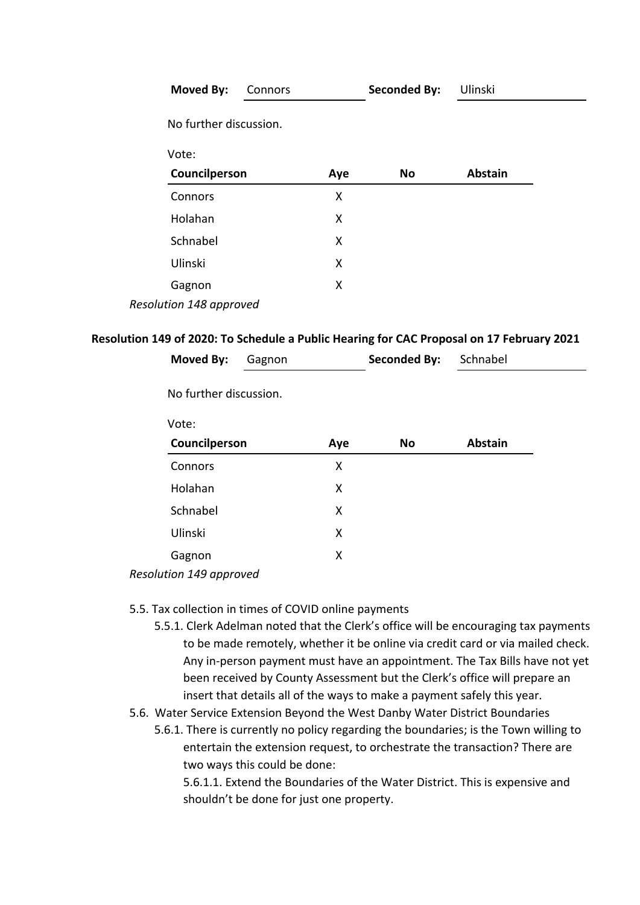| Moved By:               | Connors |     | <b>Seconded By:</b> | Ulinski        |  |
|-------------------------|---------|-----|---------------------|----------------|--|
| No further discussion.  |         |     |                     |                |  |
| Vote:                   |         |     |                     |                |  |
| Councilperson           |         | Aye | No                  | <b>Abstain</b> |  |
| Connors                 |         | X   |                     |                |  |
| Holahan                 |         | X   |                     |                |  |
| Schnabel                |         | X   |                     |                |  |
| Ulinski                 |         | X   |                     |                |  |
| Gagnon                  |         | X   |                     |                |  |
| Resolution 148 approved |         |     |                     |                |  |

### **Resolution 149 of 2020: To Schedule a Public Hearing for CAC Proposal on 17 February 2021**

| <b>Moved By:</b>        | Gagnon                 |     | <b>Seconded By:</b> | Schnabel       |  |
|-------------------------|------------------------|-----|---------------------|----------------|--|
|                         | No further discussion. |     |                     |                |  |
| Vote:                   |                        |     |                     |                |  |
| Councilperson           |                        | Aye | <b>No</b>           | <b>Abstain</b> |  |
| Connors                 |                        | X   |                     |                |  |
| Holahan                 |                        | X   |                     |                |  |
| Schnabel                |                        | X   |                     |                |  |
| Ulinski                 |                        | X   |                     |                |  |
| Gagnon                  |                        | X   |                     |                |  |
| Resolution 149 approved |                        |     |                     |                |  |

### 5.5. Tax collection in times of COVID online payments

- 5.5.1. Clerk Adelman noted that the Clerk's office will be encouraging tax payments to be made remotely, whether it be online via credit card or via mailed check. Any in-person payment must have an appointment. The Tax Bills have not yet been received by County Assessment but the Clerk's office will prepare an insert that details all of the ways to make a payment safely this year.
- 5.6. Water Service Extension Beyond the West Danby Water District Boundaries
	- 5.6.1. There is currently no policy regarding the boundaries; is the Town willing to entertain the extension request, to orchestrate the transaction? There are two ways this could be done:

5.6.1.1. Extend the Boundaries of the Water District. This is expensive and shouldn't be done for just one property.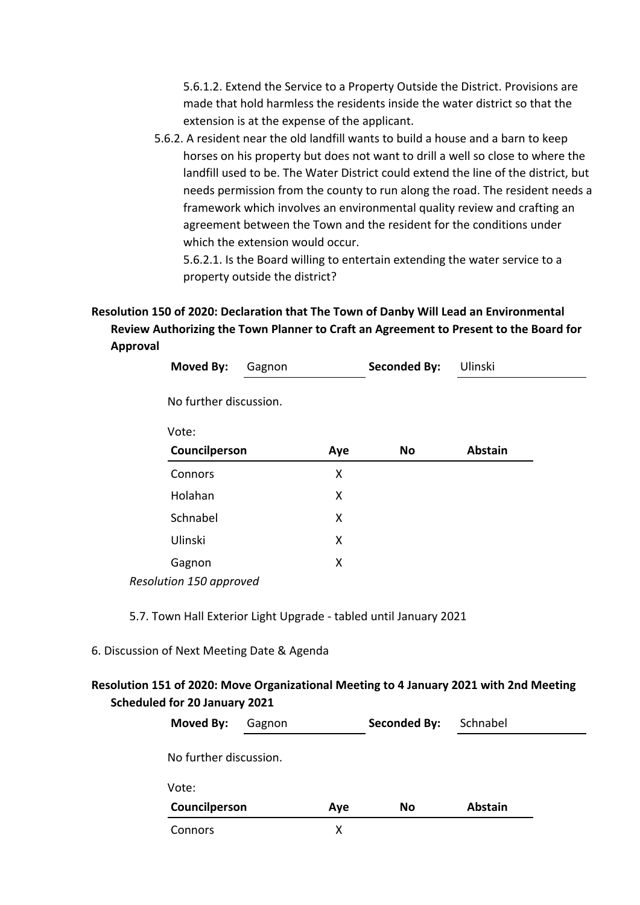5.6.1.2. Extend the Service to a Property Outside the District. Provisions are made that hold harmless the residents inside the water district so that the extension is at the expense of the applicant.

5.6.2. A resident near the old landfill wants to build a house and a barn to keep horses on his property but does not want to drill a well so close to where the landfill used to be. The Water District could extend the line of the district, but needs permission from the county to run along the road. The resident needs a framework which involves an environmental quality review and crafting an agreement between the Town and the resident for the conditions under which the extension would occur.

5.6.2.1. Is the Board willing to entertain extending the water service to a property outside the district?

# **Resolution 150 of 2020: Declaration that The Town of Danby Will Lead an Environmental Review Authorizing the Town Planner to Craft an Agreement to Present to the Board for Approval**

| Moved By:                                                                                                | Gagnon | <b>Seconded By:</b> | Ulinski                                                                          |
|----------------------------------------------------------------------------------------------------------|--------|---------------------|----------------------------------------------------------------------------------|
| No further discussion.                                                                                   |        |                     |                                                                                  |
| Vote:                                                                                                    |        |                     |                                                                                  |
| Councilperson                                                                                            |        | Aye<br><b>No</b>    | <b>Abstain</b>                                                                   |
| Connors                                                                                                  |        | X                   |                                                                                  |
| Holahan                                                                                                  |        | X                   |                                                                                  |
| Schnabel                                                                                                 |        | X                   |                                                                                  |
| Ulinski                                                                                                  |        | X                   |                                                                                  |
| Gagnon                                                                                                   |        | X                   |                                                                                  |
| Resolution 150 approved                                                                                  |        |                     |                                                                                  |
| 5.7. Town Hall Exterior Light Upgrade - tabled until January 2021<br>ssion of Next Meeting Date & Agenda |        |                     |                                                                                  |
| eduled for 20 January 2021                                                                               |        |                     | tion 151 of 2020: Move Organizational Meeting to 4 January 2021 with 2nd Meeting |
| Moved By:                                                                                                | Gagnon | <b>Seconded By:</b> | Schnabel                                                                         |
| No further discussion.                                                                                   |        |                     |                                                                                  |

6. Discu

# **Resolution 151 of 2020: Move Organizational Meeting to 4 January 2021 with 2nd Meeting Scheduled for 20 January 2021**

| Moved By:<br>Gagnon    |     | <b>Seconded By:</b> | Schnabel       |
|------------------------|-----|---------------------|----------------|
| No further discussion. |     |                     |                |
|                        |     |                     |                |
| Councilperson          | Aye | No                  | <b>Abstain</b> |
|                        |     |                     |                |
|                        |     |                     | х              |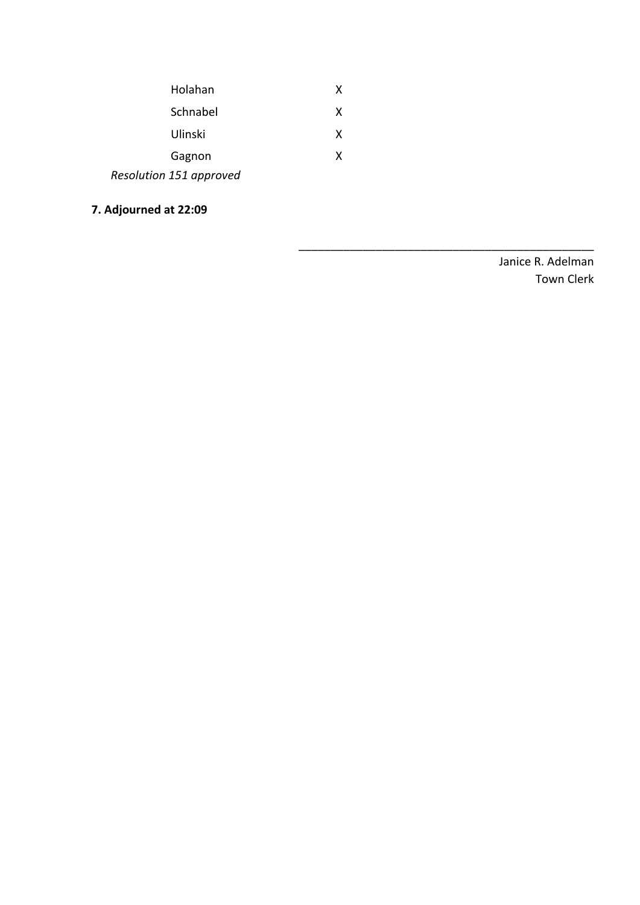| Holahan                 | X |
|-------------------------|---|
| Schnabel                | X |
| Ulinski                 | X |
| Gagnon                  | X |
| Resolution 151 approved |   |

**7. Adjourned at 22:09**

Janice R. Adelman Town Clerk

\_\_\_\_\_\_\_\_\_\_\_\_\_\_\_\_\_\_\_\_\_\_\_\_\_\_\_\_\_\_\_\_\_\_\_\_\_\_\_\_\_\_\_\_\_\_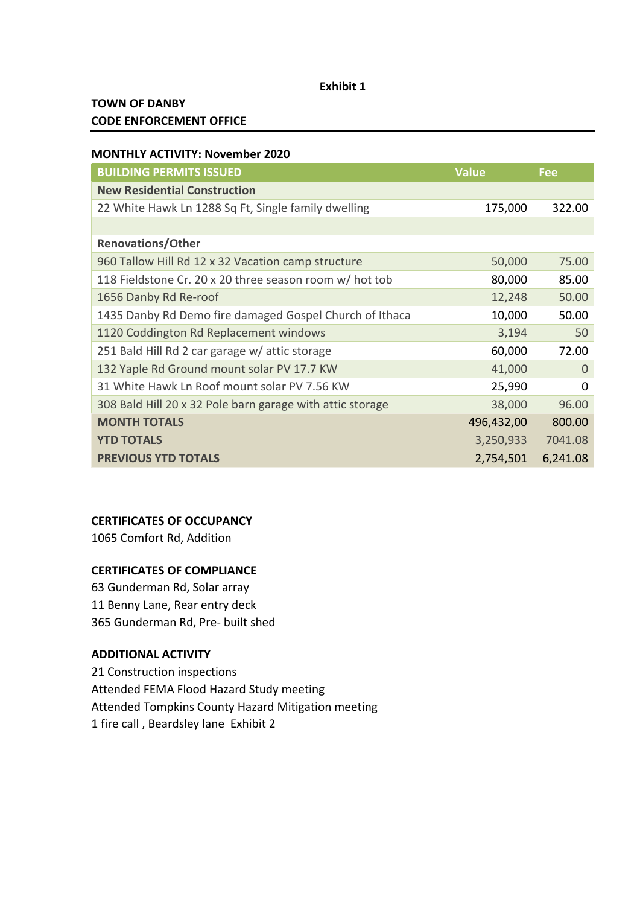#### **Exhibit 1**

# **TOWN OF DANBY CODE ENFORCEMENT OFFICE**

### **MONTHLY ACTIVITY: November 2020**

| <b>BUILDING PERMITS ISSUED</b>                            | <b>Value</b> | Fee      |
|-----------------------------------------------------------|--------------|----------|
| <b>New Residential Construction</b>                       |              |          |
| 22 White Hawk Ln 1288 Sq Ft, Single family dwelling       | 175,000      | 322.00   |
|                                                           |              |          |
| <b>Renovations/Other</b>                                  |              |          |
| 960 Tallow Hill Rd 12 x 32 Vacation camp structure        | 50,000       | 75.00    |
| 118 Fieldstone Cr. 20 x 20 three season room w/ hot tob   | 80,000       | 85.00    |
| 1656 Danby Rd Re-roof                                     | 12,248       | 50.00    |
| 1435 Danby Rd Demo fire damaged Gospel Church of Ithaca   | 10,000       | 50.00    |
| 1120 Coddington Rd Replacement windows                    | 3,194        | 50       |
| 251 Bald Hill Rd 2 car garage w/ attic storage            | 60,000       | 72.00    |
| 132 Yaple Rd Ground mount solar PV 17.7 KW                | 41,000       | $\Omega$ |
| 31 White Hawk Ln Roof mount solar PV 7.56 KW              | 25,990       | $\Omega$ |
| 308 Bald Hill 20 x 32 Pole barn garage with attic storage | 38,000       | 96.00    |
| <b>MONTH TOTALS</b>                                       | 496,432,00   | 800.00   |
| <b>YTD TOTALS</b>                                         | 3,250,933    | 7041.08  |
| <b>PREVIOUS YTD TOTALS</b>                                | 2,754,501    | 6,241.08 |

### **CERTIFICATES OF OCCUPANCY**

1065 Comfort Rd, Addition

### **CERTIFICATES OF COMPLIANCE**

63 Gunderman Rd, Solar array 11 Benny Lane, Rear entry deck 365 Gunderman Rd, Pre- built shed

# **ADDITIONAL ACTIVITY**

21 Construction inspections Attended FEMA Flood Hazard Study meeting Attended Tompkins County Hazard Mitigation meeting 1 fire call , Beardsley lane Exhibit 2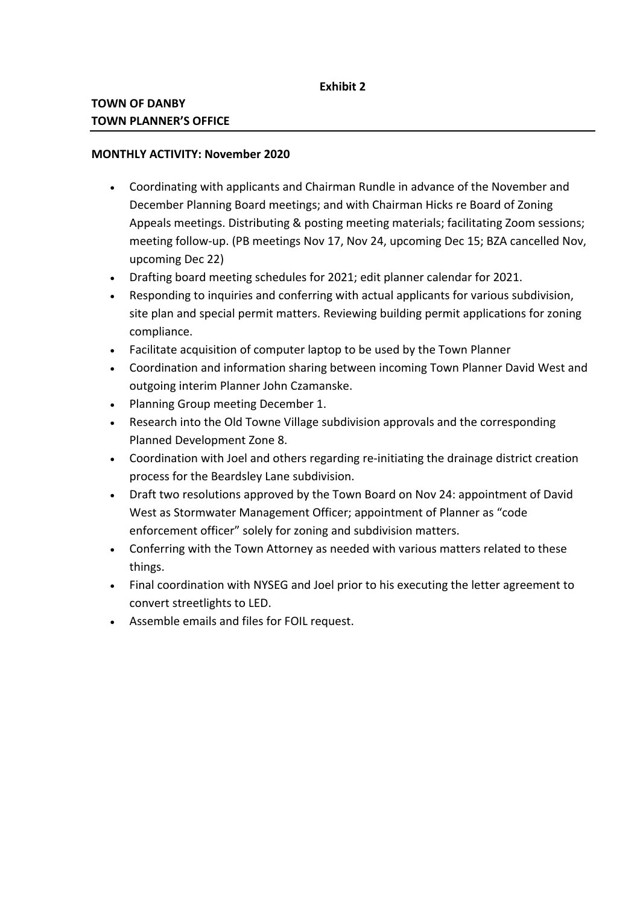## **MONTHLY ACTIVITY: November 2020**

- · Coordinating with applicants and Chairman Rundle in advance of the November and December Planning Board meetings; and with Chairman Hicks re Board of Zoning Appeals meetings. Distributing & posting meeting materials; facilitating Zoom sessions; meeting follow-up. (PB meetings Nov 17, Nov 24, upcoming Dec 15; BZA cancelled Nov, upcoming Dec 22)
- · Drafting board meeting schedules for 2021; edit planner calendar for 2021.
- · Responding to inquiries and conferring with actual applicants for various subdivision, site plan and special permit matters. Reviewing building permit applications for zoning compliance.
- · Facilitate acquisition of computer laptop to be used by the Town Planner
- · Coordination and information sharing between incoming Town Planner David West and outgoing interim Planner John Czamanske.
- · Planning Group meeting December 1.
- · Research into the Old Towne Village subdivision approvals and the corresponding Planned Development Zone 8.
- · Coordination with Joel and others regarding re-initiating the drainage district creation process for the Beardsley Lane subdivision.
- · Draft two resolutions approved by the Town Board on Nov 24: appointment of David West as Stormwater Management Officer; appointment of Planner as "code enforcement officer" solely for zoning and subdivision matters.
- · Conferring with the Town Attorney as needed with various matters related to these things.
- · Final coordination with NYSEG and Joel prior to his executing the letter agreement to convert streetlights to LED.
- · Assemble emails and files for FOIL request.